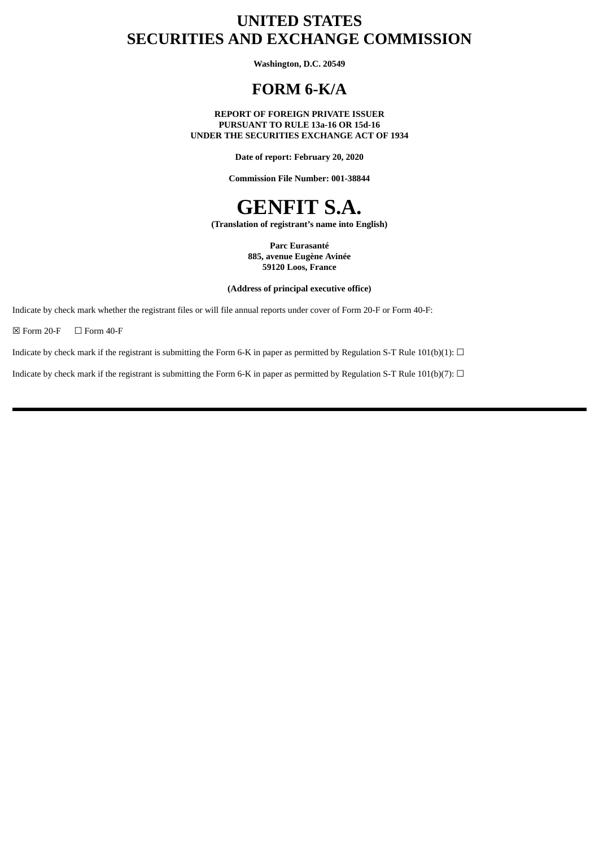## **UNITED STATES SECURITIES AND EXCHANGE COMMISSION**

**Washington, D.C. 20549**

## **FORM 6-K/A**

**REPORT OF FOREIGN PRIVATE ISSUER PURSUANT TO RULE 13a-16 OR 15d-16 UNDER THE SECURITIES EXCHANGE ACT OF 1934**

**Date of report: February 20, 2020**

**Commission File Number: 001-38844**

# **GENFIT S.A.**

**(Translation of registrant's name into English)**

**Parc Eurasanté 885, avenue Eugène Avinée 59120 Loos, France**

**(Address of principal executive office)**

Indicate by check mark whether the registrant files or will file annual reports under cover of Form 20-F or Form 40-F:

 $\boxtimes$  Form 20-F  $\Box$  Form 40-F

Indicate by check mark if the registrant is submitting the Form 6-K in paper as permitted by Regulation S-T Rule 101(b)(1):  $\Box$ 

Indicate by check mark if the registrant is submitting the Form 6-K in paper as permitted by Regulation S-T Rule 101(b)(7):  $\Box$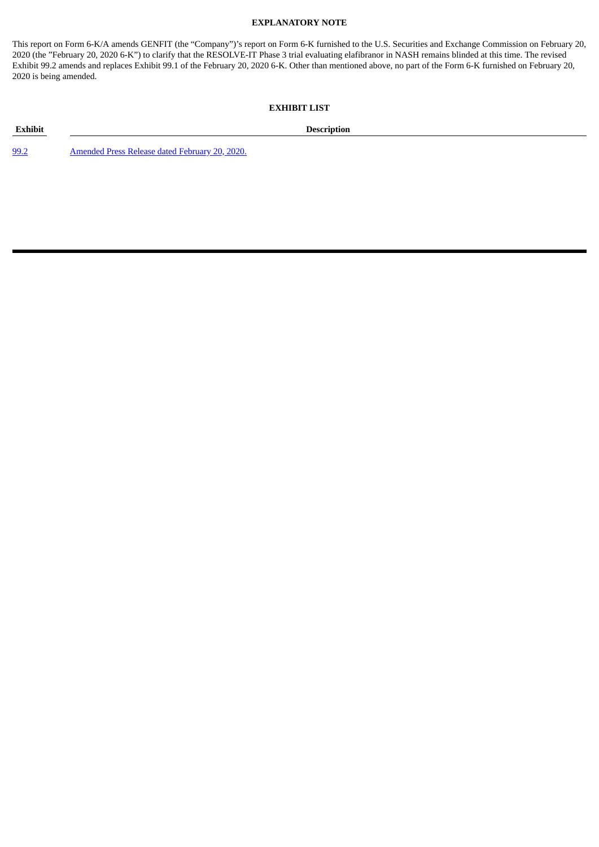#### **EXPLANATORY NOTE**

This report on Form 6-K/A amends GENFIT (the "Company")'s report on Form 6-K furnished to the U.S. Securities and Exchange Commission on February 20, 2020 (the "February 20, 2020 6-K") to clarify that the RESOLVE-IT Phase 3 trial evaluating elafibranor in NASH remains blinded at this time. The revised Exhibit 99.2 amends and replaces Exhibit 99.1 of the February 20, 2020 6-K. Other than mentioned above, no part of the Form 6-K furnished on February 20, 2020 is being amended.

#### **EXHIBIT LIST**

[99.2](#page-3-0) [Amended](#page-3-0) Press Release dated February 20, 2020.

**Exhibit Description**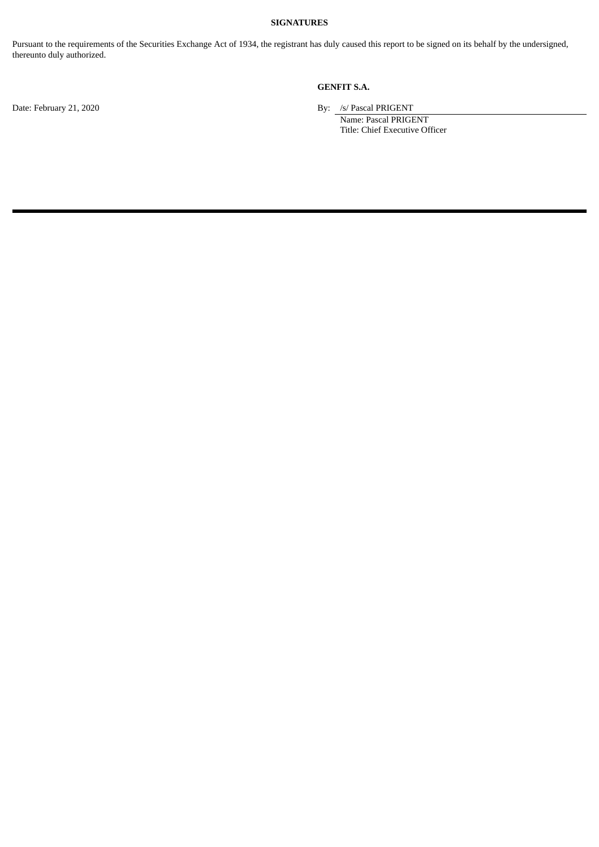#### **SIGNATURES**

Pursuant to the requirements of the Securities Exchange Act of 1934, the registrant has duly caused this report to be signed on its behalf by the undersigned, thereunto duly authorized.

### **GENFIT S.A.**

Date: February 21, 2020 By: /s/ Pascal PRIGENT

Name: Pascal PRIGENT Title: Chief Executive Officer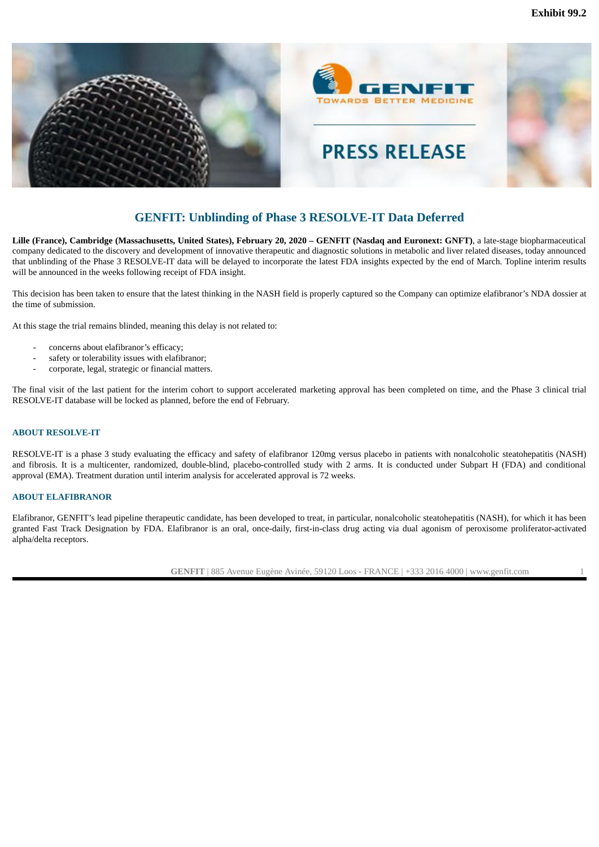<span id="page-3-0"></span>

### **GENFIT: Unblinding of Phase 3 RESOLVE-IT Data Deferred**

Lille (France), Cambridge (Massachusetts, United States), February 20, 2020 - GENFIT (Nasdaq and Euronext: GNFT), a late-stage biopharmaceutical company dedicated to the discovery and development of innovative therapeutic and diagnostic solutions in metabolic and liver related diseases, today announced that unblinding of the Phase 3 RESOLVE-IT data will be delayed to incorporate the latest FDA insights expected by the end of March. Topline interim results will be announced in the weeks following receipt of FDA insight.

This decision has been taken to ensure that the latest thinking in the NASH field is properly captured so the Company can optimize elafibranor's NDA dossier at the time of submission.

At this stage the trial remains blinded, meaning this delay is not related to:

- concerns about elafibranor's efficacy;
- safety or tolerability issues with elafibranor;
- corporate, legal, strategic or financial matters.

The final visit of the last patient for the interim cohort to support accelerated marketing approval has been completed on time, and the Phase 3 clinical trial RESOLVE-IT database will be locked as planned, before the end of February.

#### **ABOUT RESOLVE-IT**

RESOLVE-IT is a phase 3 study evaluating the efficacy and safety of elafibranor 120mg versus placebo in patients with nonalcoholic steatohepatitis (NASH) and fibrosis. It is a multicenter, randomized, double-blind, placebo-controlled study with 2 arms. It is conducted under Subpart H (FDA) and conditional approval (EMA). Treatment duration until interim analysis for accelerated approval is 72 weeks.

#### **ABOUT ELAFIBRANOR**

Elafibranor, GENFIT's lead pipeline therapeutic candidate, has been developed to treat, in particular, nonalcoholic steatohepatitis (NASH), for which it has been granted Fast Track Designation by FDA. Elafibranor is an oral, once-daily, first-in-class drug acting via dual agonism of peroxisome proliferator-activated alpha/delta receptors.

**GENFIT** | 885 Avenue Eugène Avinée, 59120 Loos - FRANCE | +333 2016 4000 | www.genfit.com 1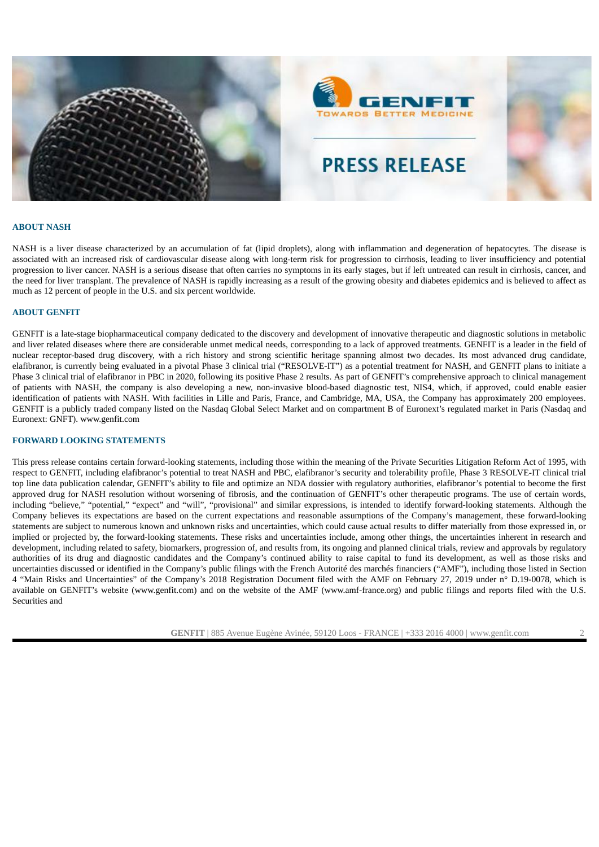



# **PRESS RELEASE**

#### **ABOUT NASH**

NASH is a liver disease characterized by an accumulation of fat (lipid droplets), along with inflammation and degeneration of hepatocytes. The disease is associated with an increased risk of cardiovascular disease along with long-term risk for progression to cirrhosis, leading to liver insufficiency and potential progression to liver cancer. NASH is a serious disease that often carries no symptoms in its early stages, but if left untreated can result in cirrhosis, cancer, and the need for liver transplant. The prevalence of NASH is rapidly increasing as a result of the growing obesity and diabetes epidemics and is believed to affect as much as 12 percent of people in the U.S. and six percent worldwide.

#### **ABOUT GENFIT**

GENFIT is a late-stage biopharmaceutical company dedicated to the discovery and development of innovative therapeutic and diagnostic solutions in metabolic and liver related diseases where there are considerable unmet medical needs, corresponding to a lack of approved treatments. GENFIT is a leader in the field of nuclear receptor-based drug discovery, with a rich history and strong scientific heritage spanning almost two decades. Its most advanced drug candidate, elafibranor, is currently being evaluated in a pivotal Phase 3 clinical trial ("RESOLVE-IT") as a potential treatment for NASH, and GENFIT plans to initiate a Phase 3 clinical trial of elafibranor in PBC in 2020, following its positive Phase 2 results. As part of GENFIT's comprehensive approach to clinical management of patients with NASH, the company is also developing a new, non-invasive blood-based diagnostic test, NIS4, which, if approved, could enable easier identification of patients with NASH. With facilities in Lille and Paris, France, and Cambridge, MA, USA, the Company has approximately 200 employees. GENFIT is a publicly traded company listed on the Nasdaq Global Select Market and on compartment B of Euronext's regulated market in Paris (Nasdaq and Euronext: GNFT). www.genfit.com

#### **FORWARD LOOKING STATEMENTS**

This press release contains certain forward-looking statements, including those within the meaning of the Private Securities Litigation Reform Act of 1995, with respect to GENFIT, including elafibranor's potential to treat NASH and PBC, elafibranor's security and tolerability profile, Phase 3 RESOLVE-IT clinical trial top line data publication calendar, GENFIT's ability to file and optimize an NDA dossier with regulatory authorities, elafibranor's potential to become the first approved drug for NASH resolution without worsening of fibrosis, and the continuation of GENFIT's other therapeutic programs. The use of certain words, including "believe," "potential," "expect" and "will", "provisional" and similar expressions, is intended to identify forward-looking statements. Although the Company believes its expectations are based on the current expectations and reasonable assumptions of the Company's management, these forward-looking statements are subject to numerous known and unknown risks and uncertainties, which could cause actual results to differ materially from those expressed in, or implied or projected by, the forward-looking statements. These risks and uncertainties include, among other things, the uncertainties inherent in research and development, including related to safety, biomarkers, progression of, and results from, its ongoing and planned clinical trials, review and approvals by regulatory authorities of its drug and diagnostic candidates and the Company's continued ability to raise capital to fund its development, as well as those risks and uncertainties discussed or identified in the Company's public filings with the French Autorité des marchés financiers ("AMF"), including those listed in Section 4 "Main Risks and Uncertainties" of the Company's 2018 Registration Document filed with the AMF on February 27, 2019 under n° D.19-0078, which is available on GENFIT's website (www.genfit.com) and on the website of the AMF (www.amf-france.org) and public filings and reports filed with the U.S. Securities and

**GENFIT** | 885 Avenue Eugène Avinée, 59120 Loos - FRANCE | +333 2016 4000 | www.genfit.com 2